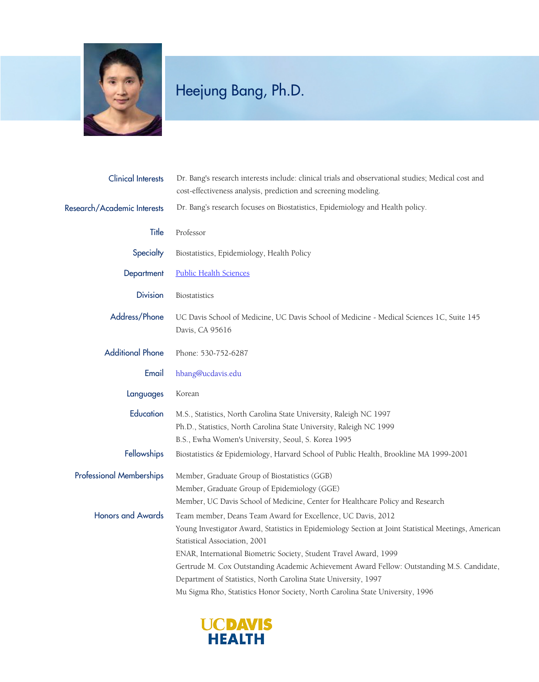

## Heejung Bang, Ph.D.

| <b>Clinical Interests</b>       | Dr. Bang's research interests include: clinical trials and observational studies; Medical cost and<br>cost-effectiveness analysis, prediction and screening modeling.                                                                                                                                                                                                                                                                                                                                                        |
|---------------------------------|------------------------------------------------------------------------------------------------------------------------------------------------------------------------------------------------------------------------------------------------------------------------------------------------------------------------------------------------------------------------------------------------------------------------------------------------------------------------------------------------------------------------------|
| Research/Academic Interests     | Dr. Bang's research focuses on Biostatistics, Epidemiology and Health policy.                                                                                                                                                                                                                                                                                                                                                                                                                                                |
| Title                           | Professor                                                                                                                                                                                                                                                                                                                                                                                                                                                                                                                    |
| Specialty                       | Biostatistics, Epidemiology, Health Policy                                                                                                                                                                                                                                                                                                                                                                                                                                                                                   |
| Department                      | <b>Public Health Sciences</b>                                                                                                                                                                                                                                                                                                                                                                                                                                                                                                |
| <b>Division</b>                 | Biostatistics                                                                                                                                                                                                                                                                                                                                                                                                                                                                                                                |
| Address/Phone                   | UC Davis School of Medicine, UC Davis School of Medicine - Medical Sciences 1C, Suite 145<br>Davis, CA 95616                                                                                                                                                                                                                                                                                                                                                                                                                 |
| <b>Additional Phone</b>         | Phone: 530-752-6287                                                                                                                                                                                                                                                                                                                                                                                                                                                                                                          |
| Email                           | hbang@ucdavis.edu                                                                                                                                                                                                                                                                                                                                                                                                                                                                                                            |
| Languages                       | Korean                                                                                                                                                                                                                                                                                                                                                                                                                                                                                                                       |
| Education                       | M.S., Statistics, North Carolina State University, Raleigh NC 1997<br>Ph.D., Statistics, North Carolina State University, Raleigh NC 1999<br>B.S., Ewha Women's University, Seoul, S. Korea 1995                                                                                                                                                                                                                                                                                                                             |
| Fellowships                     | Biostatistics & Epidemiology, Harvard School of Public Health, Brookline MA 1999-2001                                                                                                                                                                                                                                                                                                                                                                                                                                        |
| <b>Professional Memberships</b> | Member, Graduate Group of Biostatistics (GGB)<br>Member, Graduate Group of Epidemiology (GGE)<br>Member, UC Davis School of Medicine, Center for Healthcare Policy and Research                                                                                                                                                                                                                                                                                                                                              |
| <b>Honors and Awards</b>        | Team member, Deans Team Award for Excellence, UC Davis, 2012<br>Young Investigator Award, Statistics in Epidemiology Section at Joint Statistical Meetings, American<br>Statistical Association, 2001<br>ENAR, International Biometric Society, Student Travel Award, 1999<br>Gertrude M. Cox Outstanding Academic Achievement Award Fellow: Outstanding M.S. Candidate,<br>Department of Statistics, North Carolina State University, 1997<br>Mu Sigma Rho, Statistics Honor Society, North Carolina State University, 1996 |

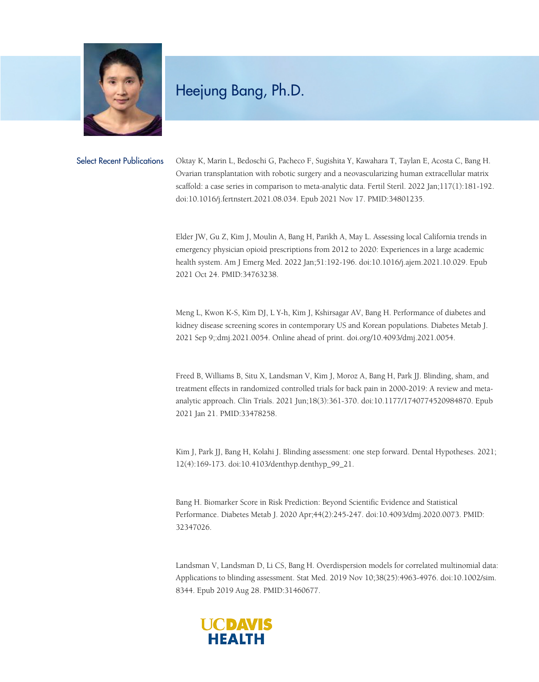

## Heejung Bang, Ph.D.

Select Recent Publications Oktay K, Marin L, Bedoschi G, Pacheco F, Sugishita Y, Kawahara T, Taylan E, Acosta C, Bang H. Ovarian transplantation with robotic surgery and a neovascularizing human extracellular matrix scaffold: a case series in comparison to meta-analytic data. Fertil Steril. 2022 Jan;117(1):181-192. doi:10.1016/j.fertnstert.2021.08.034. Epub 2021 Nov 17. PMID:34801235.

> Elder JW, Gu Z, Kim J, Moulin A, Bang H, Parikh A, May L. Assessing local California trends in emergency physician opioid prescriptions from 2012 to 2020: Experiences in a large academic health system. Am J Emerg Med. 2022 Jan;51:192-196. doi:10.1016/j.ajem.2021.10.029. Epub 2021 Oct 24. PMID:34763238.

> Meng L, Kwon K-S, Kim DJ, L Y-h, Kim J, Kshirsagar AV, Bang H. Performance of diabetes and kidney disease screening scores in contemporary US and Korean populations. Diabetes Metab J. 2021 Sep 9;:dmj.2021.0054. Online ahead of print. doi.org/10.4093/dmj.2021.0054.

Freed B, Williams B, Situ X, Landsman V, Kim J, Moroz A, Bang H, Park JJ. Blinding, sham, and treatment effects in randomized controlled trials for back pain in 2000-2019: A review and metaanalytic approach. Clin Trials. 2021 Jun;18(3):361-370. doi:10.1177/1740774520984870. Epub 2021 Jan 21. PMID:33478258.

Kim J, Park JJ, Bang H, Kolahi J. Blinding assessment: one step forward. Dental Hypotheses. 2021; 12(4):169-173. doi:10.4103/denthyp.denthyp\_99\_21.

Bang H. Biomarker Score in Risk Prediction: Beyond Scientific Evidence and Statistical Performance. Diabetes Metab J. 2020 Apr;44(2):245-247. doi:10.4093/dmj.2020.0073. PMID: 32347026.

Landsman V, Landsman D, Li CS, Bang H. Overdispersion models for correlated multinomial data: Applications to blinding assessment. Stat Med. 2019 Nov 10;38(25):4963-4976. doi:10.1002/sim. 8344. Epub 2019 Aug 28. PMID:31460677.